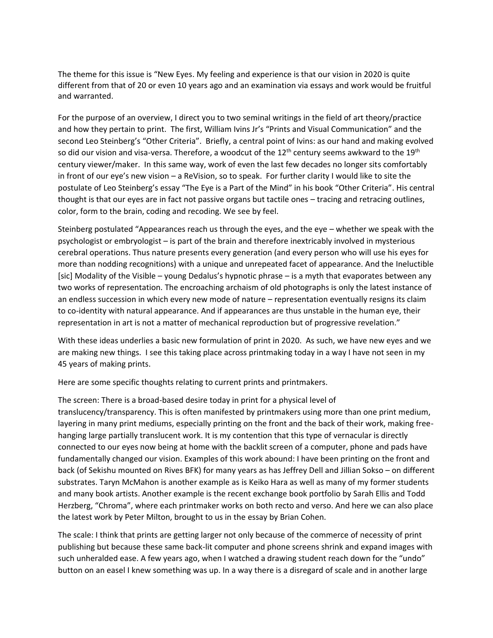The theme for this issue is "New Eyes. My feeling and experience is that our vision in 2020 is quite different from that of 20 or even 10 years ago and an examination via essays and work would be fruitful and warranted.

For the purpose of an overview, I direct you to two seminal writings in the field of art theory/practice and how they pertain to print. The first, William Ivins Jr's "Prints and Visual Communication" and the second Leo Steinberg's "Other Criteria". Briefly, a central point of Ivins: as our hand and making evolved so did our vision and visa-versa. Therefore, a woodcut of the  $12<sup>th</sup>$  century seems awkward to the  $19<sup>th</sup>$ century viewer/maker. In this same way, work of even the last few decades no longer sits comfortably in front of our eye's new vision – a ReVision, so to speak. For further clarity I would like to site the postulate of Leo Steinberg's essay "The Eye is a Part of the Mind" in his book "Other Criteria". His central thought is that our eyes are in fact not passive organs but tactile ones – tracing and retracing outlines, color, form to the brain, coding and recoding. We see by feel.

Steinberg postulated "Appearances reach us through the eyes, and the eye – whether we speak with the psychologist or embryologist – is part of the brain and therefore inextricably involved in mysterious cerebral operations. Thus nature presents every generation (and every person who will use his eyes for more than nodding recognitions) with a unique and unrepeated facet of appearance. And the Ineluctible [sic] Modality of the Visible – young Dedalus's hypnotic phrase – is a myth that evaporates between any two works of representation. The encroaching archaism of old photographs is only the latest instance of an endless succession in which every new mode of nature – representation eventually resigns its claim to co-identity with natural appearance. And if appearances are thus unstable in the human eye, their representation in art is not a matter of mechanical reproduction but of progressive revelation."

With these ideas underlies a basic new formulation of print in 2020. As such, we have new eyes and we are making new things. I see this taking place across printmaking today in a way I have not seen in my 45 years of making prints.

Here are some specific thoughts relating to current prints and printmakers.

The screen: There is a broad-based desire today in print for a physical level of translucency/transparency. This is often manifested by printmakers using more than one print medium, layering in many print mediums, especially printing on the front and the back of their work, making freehanging large partially translucent work. It is my contention that this type of vernacular is directly connected to our eyes now being at home with the backlit screen of a computer, phone and pads have fundamentally changed our vision. Examples of this work abound: I have been printing on the front and back (of Sekishu mounted on Rives BFK) for many years as has Jeffrey Dell and Jillian Sokso – on different substrates. Taryn McMahon is another example as is Keiko Hara as well as many of my former students and many book artists. Another example is the recent exchange book portfolio by Sarah Ellis and Todd Herzberg, "Chroma", where each printmaker works on both recto and verso. And here we can also place the latest work by Peter Milton, brought to us in the essay by Brian Cohen.

The scale: I think that prints are getting larger not only because of the commerce of necessity of print publishing but because these same back-lit computer and phone screens shrink and expand images with such unheralded ease. A few years ago, when I watched a drawing student reach down for the "undo" button on an easel I knew something was up. In a way there is a disregard of scale and in another large